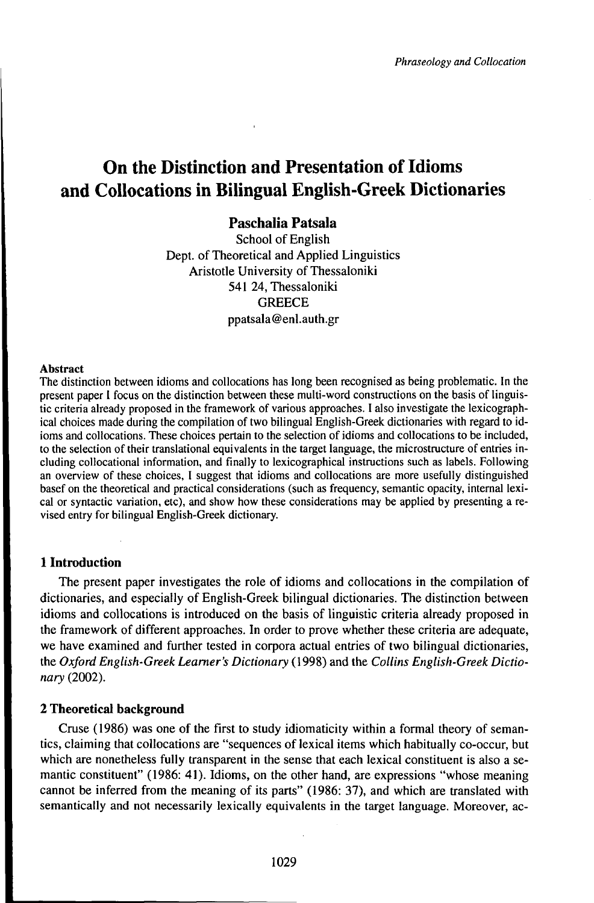# **On** the Distinction and Presentation of Idioms **and Collocations in Bilingual English-Greek Dictionaries**

# **Paschalia Patsala**

School of English Dept. of Theoretical and Applied Linguistics Aristotle University of Thessaloniki 541 24, Thessaloniki **GREECE** ppatsala@enl.auth.gr

#### Abstract

The distinction between idioms and collocations has long been recognised as being problematic. In the present paper <sup>1</sup> focus on the distinction between these multi-word constructions on the basis of linguistic criteria already proposed in the framework of various approaches. I also investigate the lexicographical choices made during the compilation of two bilingual English-Greek dictionaries with regard to idioms and collocations. These choices pertain to the selection of idioms and collocations to be included, to the selection of their translational equivalents in the target language, the microstructure of entries including collocational information, and finally to lexicographical instructions such as labels. Following an overview of these choices, I suggest that idioms and collocations are more usefully distinguished basef on the theoretical and practical considerations (such as frequency, semantic opacity, internal lexical or syntactic variation, etc), and show how these considerations may be applied by presenting a revised entry for bilingual English-Greek dictionary.

# **1 Introduction**

The present paper investigates the role of idioms and collocations in the compilation of dictionaries, and especially of English-Greek bilingual dictionaries. The distinction between idioms and collocations is introduced on the basis of linguistic criteria already proposed in the framework of different approaches. In order to prove whether these criteria are adequate, we have examined and further tested in corpora actual entries of two bilingual dictionaries, the *Oxford English-Greek Learner's Dictionary* (1998) and the *Collins English-Greek Dictionary* (2002).

## **2 Theoretical background**

Cruse (1986) was one of the first to study idiomaticity within a formal theory of semantics, claiming that collocations are "sequences of lexical items which habitually co-occur, but which are nonetheless fully transparent in the sense that each lexical constituent is also a semantic constituent" (1986: 41). Idioms, on the other hand, are expressions "whose meaning cannot be inferred from the meaning of its parts" (1986: 37), and which are translated with semantically and not necessarily lexically equivalents in the target language. Moreover, ac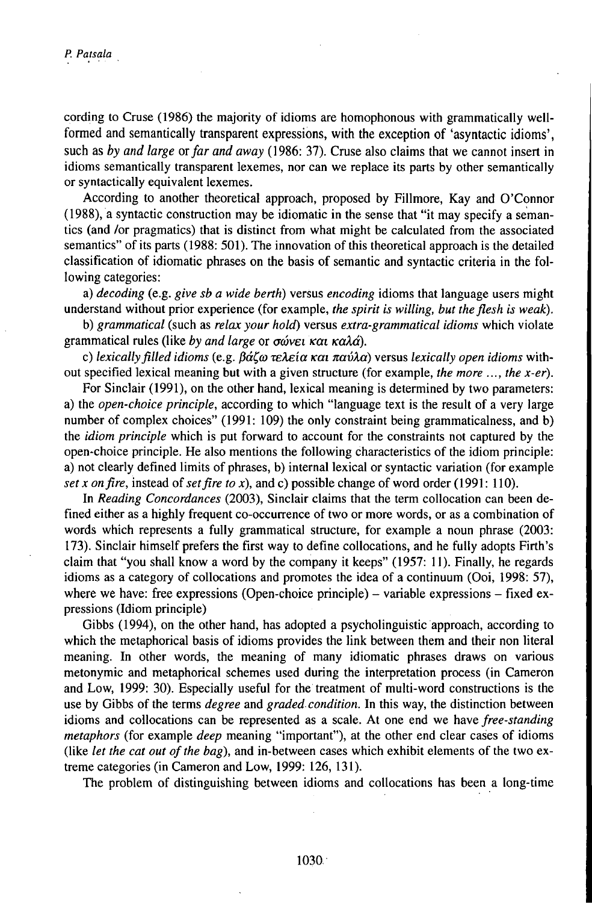cording to Cruse (1986) the majority of idioms are homophonous with grammatically wellformed and semantically transparent expressions, with the exception of 'asyntactic idioms', such as *by and large orfar and away* (1986: 37). Cruse also claims that we cannot insert in idioms semantically transparent lexemes, nor can we replace its parts by other semantically or syntactically equivalent lexemes.

According to another theoretical approach, proposed by Fillmore, Kay and O'Connor (1988), a syntactic construction may be idiomatic in the sense that "it may specify a semantics (and /or pragmatics) that is distinct from what might be calculated from the associated semantics" of its parts (1988: 501). The innovation of this theoretical approach is the detailed classification of idiomatic phrases on the basis of semantic and syntactic criteria in the following categories:

a) *decoding* (e.g. *give sb a wide berth)* versus *encoding* idioms that language users might understand without prior experience (for example, *the spirit is willing, but theflesh is weak).*

b) *grammatical* (such as *relax your hold)* versus *extra-grammatical idioms* which violate grammatical rules (like *by and large* or *σώνει και καλά*).

c) *lexicallyfilled idioms* (e.g. *ßaCa rekeia ••• navXa)* versus *lexically open idioms* without specified lexical meaning but with a given structure (for example, *the more ..., the x-er).*

For Sinclair (1991), on the other hand, lexical meaning is determined by two parameters: a) the *open-choice principle,* according to which "language text is the result of a very large number of complex choices" (1991: 109) the only constraint being grammaticalness, and b) the *idiom principle* which is put forward to account for the constraints not captured by the open-choice principle. He also mentions the following characteristics of the idiom principle: a) not clearly defined limits of phrases, b) internal lexical or syntactic variation (for example *set x onfire,* instead of*setfire to x),* and c) possible change of word order (1991: 110).

In *Reading Concordances* (2003), Sinclair claims that the term collocation can been defined either as a highly frequent co-occurrence of two or more words, or as a combination of words which represents a fully grammatical structure, for example a noun phrase (2003: 173). Sinclair himself prefers the first way to define collocations, and he fully adopts Firth's claim that "you shall know a word by the company it keeps" (1957: 11). Finally, he regards idioms as a category of collocations and promotes the idea of a continuum (Ooi, 1998: 57), where we have: free expressions (Open-choice principle) – variable expressions – fixed expressions (Idiom principle)

Gibbs (1994), on the other hand, has adopted a psycholinguistic approach, according to which the metaphorical basis of idioms provides the link between them and their non literal meaning. In other words, the meaning of many idiomatic phrases draws on various metonymic and metaphorical schemes used during the interpretation process (in Cameron and Low, 1999: 30). Especially useful for the treatment of multi-word constructions is the use by Gibbs of the terms *degree* and *graded condition*. In this way, the distinction between idioms and collocations can be represented as a scale. At one end we have *free-standing metaphors* (for example *deep* meaning "important"), at the other end clear cases of idioms (like *let the cat out ofthe bag),* and in-between cases which exhibit elements of the two extreme categories (in Cameron and Low, 1999: 126, 131).

The problem of distinguishing between idioms and collocations has been a long-time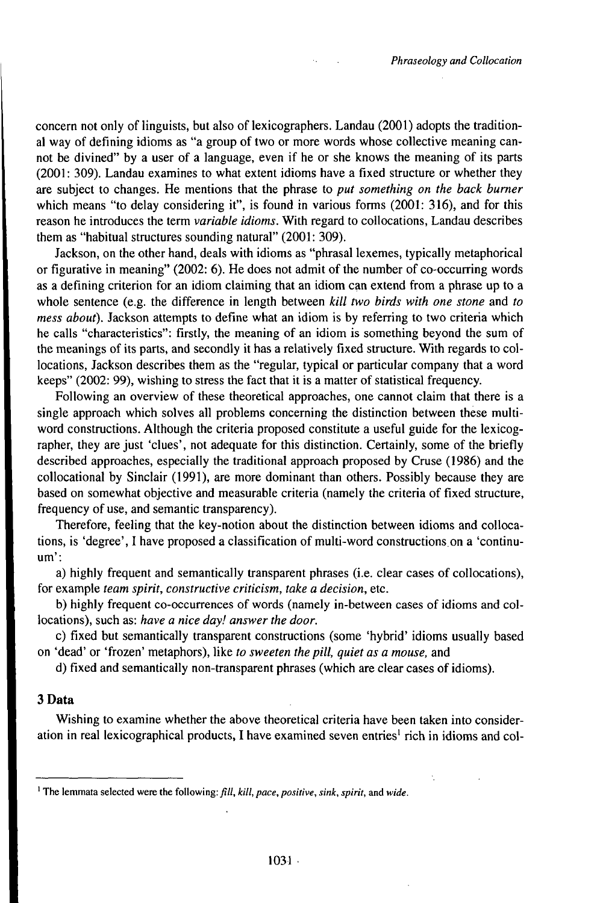concern not only of linguists, but also of lexicographers. Landau (2001) adopts the traditional way of defining idioms as "a group of two or more words whose collective meaning cannot be divined" by a user of a language, even if he or she knows the meaning of its parts (2001: 309). Landau examines to what extent idioms have a fixed structure or whether they are subject to changes. He mentions that the phrase to *put something on the back burner* which means "to delay considering it", is found in various forms (2001: 316), and for this reason he introduces the term *variable idioms.* With regard to collocations, Landau describes them as "habitual structures sounding natural" (2001: 309).

Jackson, on the other hand, deals with idioms as "phrasal lexemes, typically metaphorical or figurative in meaning" (2002: 6). He does not admit of the number of co-occurring words as a defining criterion for an idiom claiming that an idiom can extend from a phrase up to a whole sentence (e.g. the difference in length between *kill two birds with one stone* and *to mess about).* Jackson attempts to define what an idiom is by referring to two criteria which he calls "characteristics": firstly, the meaning of an idiom is something beyond the sum of the meanings of its parts, and secondly it has a relatively fixed structure. With regards to collocations, Jackson describes them as the "regular, typical or particular company that a word keeps" (2002: 99), wishing to stress the fact that it is a matter of statistical frequency.

Following an overview of these theoretical approaches, one cannot claim that there is a single approach which solves all problems concerning the distinction between these multiword constructions. Although the criteria proposed constitute a useful guide for the lexicographer, they are just 'clues', not adequate for this distinction. Certainly, some of the briefly described approaches, especially the traditional approach proposed by Cruse (1986) and the collocational by Sinclair (1991), are more dominant than others. Possibly because they are based on somewhat objective and measurable criteria (namely the criteria of fixed structure, frequency of use, and semantic transparency).

Therefore, feeling that the key-notion about the distinction between idioms and collocations, is 'degree', I have proposed a classification of multi-word constructions on a 'continuum':

a) highly frequent and semantically transparent phrases (i.e. clear cases of collocations), for example *team spirit, constructive criticism, take a decision,* etc.

b) highly frequent co-occurrences of words (namely in-between cases of idioms and collocations), such as: *have a nice day! answer the door.*

c) fixed but semantically transparent constructions (some 'hybrid' idioms usually based on 'dead' or 'frozen' metaphors), like *to sweeten the pill, quiet as a mouse,* and

d) fixed and semantically non-transparent phrases (which are clear cases of idioms).

# 3 Data

Wishing to examine whether the above theoretical criteria have been taken into consideration in real lexicographical products, I have examined seven entries<sup>1</sup> rich in idioms and col-

<sup>&</sup>lt;sup>1</sup> The lemmata selected were the following: *fill, kill, pace, positive, sink, spirit, and wide.*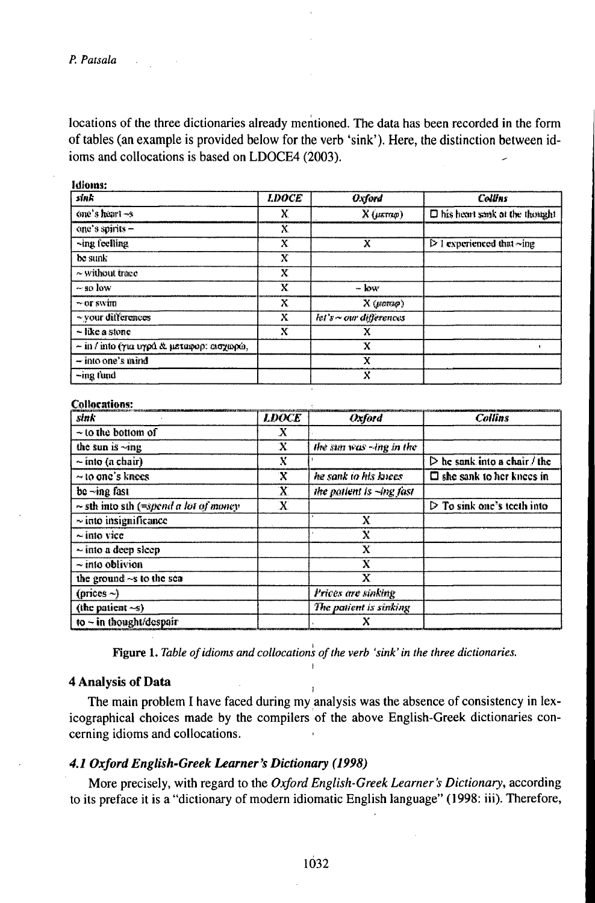**CALLING** 

locations of the three dictionaries already mentioned. The data has been recorded in the form of tables (an example is provided below for the verb 'sink'). Here, the distinction between idioms and collocations is based on LDOCE4 (2003).

| sink                                                   | <b>LDOCE</b> | Oxford                       | <b>Colums</b>                                  |
|--------------------------------------------------------|--------------|------------------------------|------------------------------------------------|
| one's heart $-$ s                                      | X            | $X$ ( $\mu \kappa$ rno)      | D his heart sank at the thought                |
| one's spirits -                                        | Х            |                              |                                                |
| $\neg$ ing feelling                                    | X            | x                            | $\triangleright$ I experienced that $\neg$ ing |
| be sunk                                                | Х            |                              |                                                |
| $\sim$ without trace                                   | x            |                              |                                                |
| $-$ so low                                             | X            | $-$ low                      |                                                |
| ∼or swim                                               | x            | $X$ ( $\mu$ cra $\varphi$ )  |                                                |
| ~ your differences                                     | x            | $let's \sim$ our differences |                                                |
| $\sim$ like a stone                                    | X            | x                            |                                                |
| $\sim$ in $\ell$ into (yui uypd & ustainon: entrance). |              | x                            |                                                |
| - into one's mind                                      |              | x                            |                                                |
| -ing fund                                              |              | X                            |                                                |

**Collocations:** 

| sink                                       | <b>LDOCE</b> | Oxford                   | <b>Collins</b>                              |
|--------------------------------------------|--------------|--------------------------|---------------------------------------------|
| $\sim$ to the bottom of                    | х            |                          |                                             |
| the sun is ~ing                            | х            | the sun was ~ing in the  |                                             |
| $\sim$ into (a chair)                      | X            |                          | $\triangleright$ he sank into a chair / the |
| $\sim$ to one's knees                      | X            | he sank to his knees     | $\square$ she sank to her knees in          |
| be ~ing fast                               | X            | the patient is -ing fast |                                             |
| $\sim$ sth into sth (=spend a lot of money | X            |                          | $\triangleright$ To sink one's teeth into   |
| $\sim$ into insignificance                 |              | х                        |                                             |
| $\sim$ into vice                           |              | x                        |                                             |
| $\sim$ into a deep sleep                   |              | X                        |                                             |
| $\sim$ into oblivion                       |              | x                        |                                             |
| the ground $\sim$ s to the sea             |              | x                        |                                             |
| (prices $\sim$ )                           |              | Prices are sinking       |                                             |
| (the patient $\sim$ 5)                     |              | The patient is sinking   |                                             |
| to $\sim$ in thought/despair               |              |                          |                                             |

Figure 1. Table of idioms and collocations of the verb 'sink' in the three dictionaries.

 $\overline{1}$ 

### **4 Analysis of Data**

The main problem I have faced during my analysis was the absence of consistency in lexicographical choices made by the compilers of the above English-Greek dictionaries concerning idioms and collocations.

#### 4.1 Oxford English-Greek Learner's Dictionary (1998)

More precisely, with regard to the Oxford English-Greek Learner's Dictionary, according to its preface it is a "dictionary of modern idiomatic English language" (1998: iii). Therefore,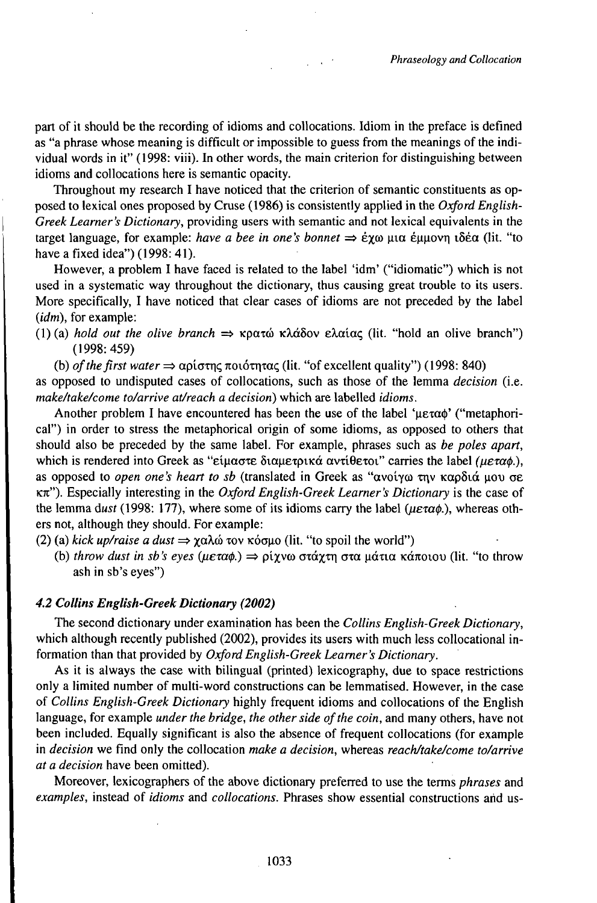part of it should be the recording of idioms and collocations. Idiom in the preface is defined as "a phrase whose meaning is difficult or impossible to guess from the meanings of the individual words in it" (1998: viii). In other words, the main criterion for distinguishing between idioms and collocations here is semantic opacity.

Throughout my research I have noticed that the criterion of semantic constituents as opposed to lexical ones proposed by Cruse (1986) is consistently applied in the *Oxford English*-*Greek Learner's Dictionary,* providing users with semantic and not lexical equivalents in the target language, for example: *have a bee in one's bonnet* => *e%cu* uia euuovr| t5ea (lit. "to have a fixed idea") (1998: 41).

However, a problem I have faced is related to the label 'idm' ("idiomatic") which is not used in a systematic way throughout the dictionary, thus causing great trouble to its users. More specifically, I have noticed that clear cases of idioms are not preceded by the label *(idm),* for example:

- (1) (a) *hold out the olive branch*  $\Rightarrow \kappa \rho \alpha \tau \omega \kappa \lambda \alpha \delta \sigma \nu \epsilon \lambda \alpha \tau \alpha \zeta$  (lit. "hold an olive branch") (1998:459)
	- (b) *of the first water*  $\Rightarrow$   $\alpha \beta$  *agiorned notinarial* (lit. "of excellent quality") (1998: 840)

as opposed to undisputed cases of collocations, such as those of the lemma *decision* (i.e. *make/take/come to/arrive at/reach a decision)* which are labelled *idioms.*

Another problem I have encountered has been the use of the label ' $\mu \epsilon \alpha \phi'$ ' ("metaphorical") in order to stress the metaphorical origin of some idioms, as opposed to others that should also be preceded by the same label. For example, phrases such as *be poles apart,* which is rendered into Greek as "είμαστε διαμετρικά αντίθετοι" carries the label (μεταφ.), as opposed to *open one's heart to sb* (translated in Greek as "ανοίγω την καρδιά μου σε K7t"). Especially interesting in the *Oxford English-Greek Learner's Dictionary* is the case of the lemma *dust* (1998: 177), where some of its idioms carry the label (μεταφ.), whereas others not, although they should. For example:

- (2) (a) *kick up/raise a dust*  $\Rightarrow \chi \alpha \lambda \dot{\omega}$  *zov*  $\kappa \dot{\alpha} \alpha \dot{\mu}$  (lit. "to spoil the world")
	- (b) *throw dust in sb 's eyes ^••••.)* => *pi%va* ••••••, ••• ••••••••••• (lit. "to throw ash in sb's eyes")

#### *4.2 Collins English-Greek Dictionary (2002)*

The second dictionary under examination has been the *Collins English-Greek Dictionary,* which although recently published (2002), provides its users with much less collocational information than that provided by *Oxford English-Greek Learner's Dictionary.*

As it is always the case with bilingual (printed) lexicography, due to space restrictions only a limited number of multi-word constructions can be lemmatised. However, in the case of *Collins English-Greek Dictionary* highly frequent idioms and collocations of the English language, for example *under the bridge, the other side ofthe coin,* and many others, have not been included. Equally significant is also the absence of frequent collocations (for example in *decision* we find only the collocation *make a decision,* whereas *reach/take/come to/arrive at a decision* have been omitted).

Moreover, lexicographers of the above dictionary preferred to use the terms *phrases* and *examples,* instead of *idioms* and *collocations.* Phrases show essential constructions arid us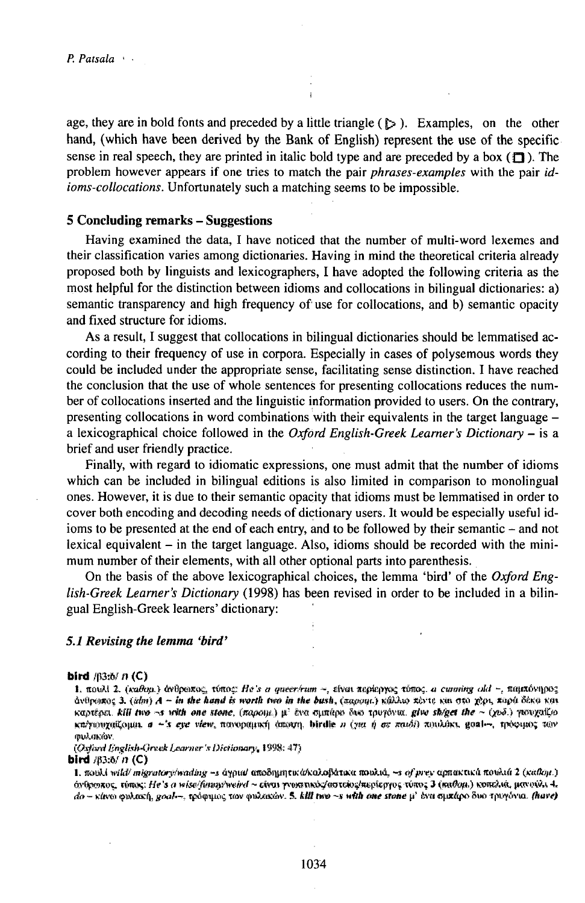age, they are in bold fonts and preceded by a little triangle  $(\triangleright)$ . Examples, on the other hand, (which have been derived by the Bank of English) represent the use of the specific sense in real speech, they are printed in italic bold type and are preceded by a box ( $\Box$ ). The problem however appears if one tries to match the pair *phrases-examples* with the pair *idioms-collocations.* Unfortunately such a matching seems to be impossible.

### **<sup>5</sup> Concluding remarks - Suggestions**

Having examined the data, I have noticed that the number of multi-word lexemes and their classification varies among dictionaries. Having in mind the theoretical criteria already proposed both by linguists and lexicographers, I have adopted the following criteria as the most helpful for the distinction between idioms and collocations in bilingual dictionaries: a) semantic transparency and high frequency of use for collocations, and b) semantic opacity and fixed structure for idioms.

As a result, I suggest that collocations in bilingual dictionaries should be lemmatised according to their frequency of use in corpora. Especially in cases of polysemous words they could be included under the appropriate sense, facilitating sense distinction. I have reached the conclusion that the use of whole sentences for presenting collocations reduces the number of collocations inserted and the linguistic information provided to users. On the contrary, presenting collocations in word combinations with their equivalents in the target language <sup>a</sup> lexicographical choice followed in the *Oxford English-Greek Learner's Dictionary -* is <sup>a</sup> brief and user friendly practice.

Finally, with regard to idiomatic expressions, one must admit that the number of idioms which can be included in bilingual editions is also limited in comparison to monolingual ones. However, it is due to their semantic opacity that idioms must be lemmatised in order to cover both encoding and decoding needs of dictionary users. It would be especially useful idioms to be presented at the end of each entry, and to be followed by their semantic – and not lexical equivalent  $-$  in the target language. Also, idioms should be recorded with the minimum number of their elements, with all other optional parts into parenthesis.

On the basis of the above lexicographical choices, the lemma 'bird' of the *Oxford English-Greek Learner's Dictionary* (1998) has been revised in order to be included in a bilingual English-Greek learners' dictionary:

#### *5.1 Revising the lemma 'bird'*

#### **bird** /fi3:o/ *ñ* (C)

1. novAi 2. (xaθou.) άνθρωπος, τόπος: *He's a queer/rum ~, είναι περίεργος τόπος. a cunning old ~, παμπόνηρος* **ira** /ji3to/  $B$  (C)<br>1. novAl 2. (καθομ.) άνθρωπος, τόπος: He's a queer/rum ~, είναι περίεργος τόπος, a cuming old ~, παμπόνηρος<br>άνθρωπος 3. (idm) A ~ In the hand is worth two in the bush, (παρομε) κάλλω πόντε και στο χ \*»\*••••••••••, *<sup>a</sup> ~'\$* «j\*p «few, «cwfMflíiKf] tew3rt|, biriIte *<sup>n</sup>* (••• *jj.* <rs *••} ••\$•%* gM)~. tp^ij»; *mv yvkriKKw.*

*(O.ýh'dBnglfaM'jrs^íj&jnmr'xDícíiomr}<,* 1998:4?)

**bird** #3:5/n (C)

1. february 1. february 1. february 1. february 1. 1998; 413<br>1**rd** 193:8/41 (C)<br>1. final with migratory/wading --s ayout ano8nympu/dicalofiance now.us, --s of prey apnarius it novieties 2 (xallay.) iva space τι \C)<br>1. πουλί wild migratory/wading -> άγρια/ αποδημητικά/καλοβάτικα ποιλιά, -> of μνεν αρπακτικά πουλιά 2 (καθαμ.)<br>Δε με τόμο καλτικό, που la «καθαμικα των ανθετικών & All run -ν μίθι στο του αν δεν συμβού δυ r, nooks what migratory, waang --> appur anooyppers. as a solotical anooy, --> of providence, *+-*••<br>orthosize, rimes; He's a wise/fining/weird ~ civar prostruck/acress/acpleptpe. rime<br>do -- rives enkasch, goal --, redeman *α* σματάρο δυο τριφόνια. (have)